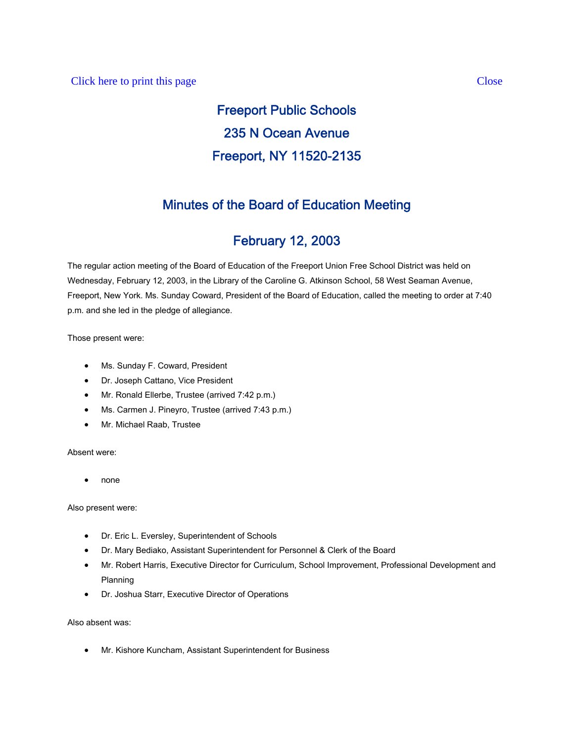# Freeport Public Schools 235 N Ocean Avenue Freeport, NY 11520-2135

## Minutes of the Board of Education Meeting

# February 12, 2003

The regular action meeting of the Board of Education of the Freeport Union Free School District was held on Wednesday, February 12, 2003, in the Library of the Caroline G. Atkinson School, 58 West Seaman Avenue, Freeport, New York. Ms. Sunday Coward, President of the Board of Education, called the meeting to order at 7:40 p.m. and she led in the pledge of allegiance.

Those present were:

- Ms. Sunday F. Coward, President
- Dr. Joseph Cattano, Vice President
- Mr. Ronald Ellerbe, Trustee (arrived 7:42 p.m.)
- Ms. Carmen J. Pineyro, Trustee (arrived 7:43 p.m.)
- Mr. Michael Raab, Trustee

Absent were:

• none

Also present were:

- Dr. Eric L. Eversley, Superintendent of Schools
- Dr. Mary Bediako, Assistant Superintendent for Personnel & Clerk of the Board
- Mr. Robert Harris, Executive Director for Curriculum, School Improvement, Professional Development and Planning
- Dr. Joshua Starr, Executive Director of Operations

Also absent was:

• Mr. Kishore Kuncham, Assistant Superintendent for Business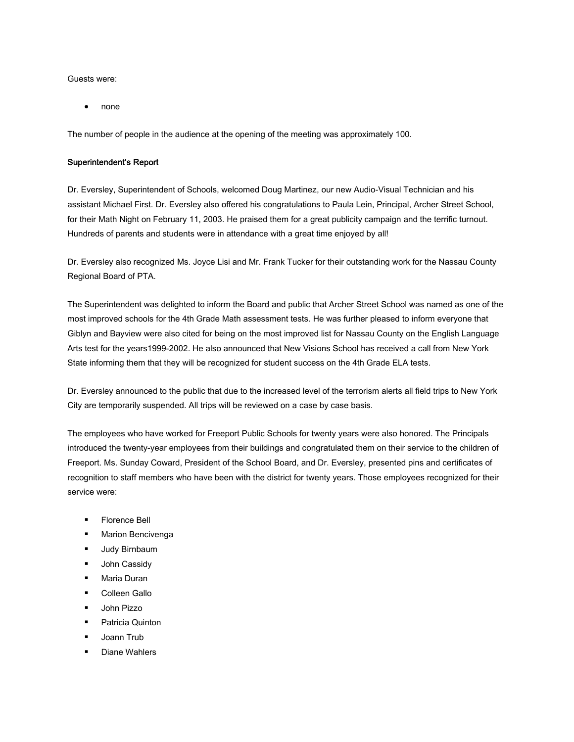Guests were:

• none

The number of people in the audience at the opening of the meeting was approximately 100.

#### Superintendent's Report

Dr. Eversley, Superintendent of Schools, welcomed Doug Martinez, our new Audio-Visual Technician and his assistant Michael First. Dr. Eversley also offered his congratulations to Paula Lein, Principal, Archer Street School, for their Math Night on February 11, 2003. He praised them for a great publicity campaign and the terrific turnout. Hundreds of parents and students were in attendance with a great time enjoyed by all!

Dr. Eversley also recognized Ms. Joyce Lisi and Mr. Frank Tucker for their outstanding work for the Nassau County Regional Board of PTA.

The Superintendent was delighted to inform the Board and public that Archer Street School was named as one of the most improved schools for the 4th Grade Math assessment tests. He was further pleased to inform everyone that Giblyn and Bayview were also cited for being on the most improved list for Nassau County on the English Language Arts test for the years1999-2002. He also announced that New Visions School has received a call from New York State informing them that they will be recognized for student success on the 4th Grade ELA tests.

Dr. Eversley announced to the public that due to the increased level of the terrorism alerts all field trips to New York City are temporarily suspended. All trips will be reviewed on a case by case basis.

The employees who have worked for Freeport Public Schools for twenty years were also honored. The Principals introduced the twenty-year employees from their buildings and congratulated them on their service to the children of Freeport. Ms. Sunday Coward, President of the School Board, and Dr. Eversley, presented pins and certificates of recognition to staff members who have been with the district for twenty years. Those employees recognized for their service were:

- Florence Bell
- **Marion Bencivenga**
- **Judy Birnbaum**
- **John Cassidy**
- **Maria Duran**
- **Colleen Gallo**
- **John Pizzo**
- **Patricia Quinton**
- **Joann Trub**
- Diane Wahlers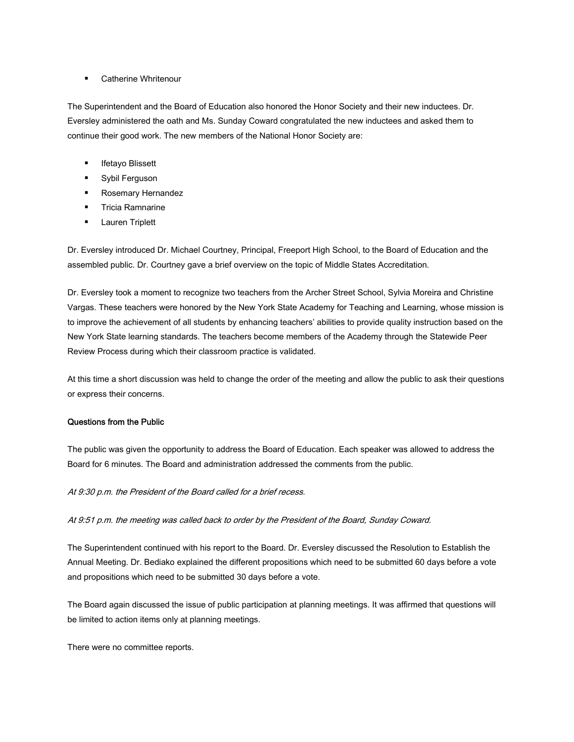#### **EXEC** Catherine Whritenour

The Superintendent and the Board of Education also honored the Honor Society and their new inductees. Dr. Eversley administered the oath and Ms. Sunday Coward congratulated the new inductees and asked them to continue their good work. The new members of the National Honor Society are:

- Ifetayo Blissett
- **Sybil Ferguson**
- **Rosemary Hernandez**
- **Tricia Ramnarine**
- **Lauren Triplett**

Dr. Eversley introduced Dr. Michael Courtney, Principal, Freeport High School, to the Board of Education and the assembled public. Dr. Courtney gave a brief overview on the topic of Middle States Accreditation.

Dr. Eversley took a moment to recognize two teachers from the Archer Street School, Sylvia Moreira and Christine Vargas. These teachers were honored by the New York State Academy for Teaching and Learning, whose mission is to improve the achievement of all students by enhancing teachers' abilities to provide quality instruction based on the New York State learning standards. The teachers become members of the Academy through the Statewide Peer Review Process during which their classroom practice is validated.

At this time a short discussion was held to change the order of the meeting and allow the public to ask their questions or express their concerns.

#### Questions from the Public

The public was given the opportunity to address the Board of Education. Each speaker was allowed to address the Board for 6 minutes. The Board and administration addressed the comments from the public.

#### At 9:30 p.m. the President of the Board called for a brief recess.

At 9:51 p.m. the meeting was called back to order by the President of the Board, Sunday Coward.

The Superintendent continued with his report to the Board. Dr. Eversley discussed the Resolution to Establish the Annual Meeting. Dr. Bediako explained the different propositions which need to be submitted 60 days before a vote and propositions which need to be submitted 30 days before a vote.

The Board again discussed the issue of public participation at planning meetings. It was affirmed that questions will be limited to action items only at planning meetings.

There were no committee reports.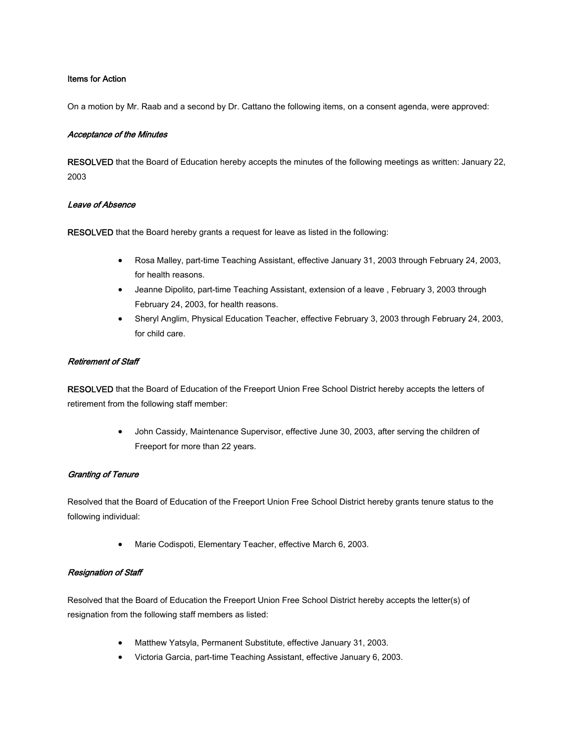#### Items for Action

On a motion by Mr. Raab and a second by Dr. Cattano the following items, on a consent agenda, were approved:

#### Acceptance of the Minutes

RESOLVED that the Board of Education hereby accepts the minutes of the following meetings as written: January 22, 2003

#### Leave of Absence

RESOLVED that the Board hereby grants a request for leave as listed in the following:

- Rosa Malley, part-time Teaching Assistant, effective January 31, 2003 through February 24, 2003, for health reasons.
- Jeanne Dipolito, part-time Teaching Assistant, extension of a leave , February 3, 2003 through February 24, 2003, for health reasons.
- Sheryl Anglim, Physical Education Teacher, effective February 3, 2003 through February 24, 2003, for child care.

#### Retirement of Staff

RESOLVED that the Board of Education of the Freeport Union Free School District hereby accepts the letters of retirement from the following staff member:

> • John Cassidy, Maintenance Supervisor, effective June 30, 2003, after serving the children of Freeport for more than 22 years.

#### Granting of Tenure

Resolved that the Board of Education of the Freeport Union Free School District hereby grants tenure status to the following individual:

• Marie Codispoti, Elementary Teacher, effective March 6, 2003.

#### Resignation of Staff

Resolved that the Board of Education the Freeport Union Free School District hereby accepts the letter(s) of resignation from the following staff members as listed:

- Matthew Yatsyla, Permanent Substitute, effective January 31, 2003.
- Victoria Garcia, part-time Teaching Assistant, effective January 6, 2003.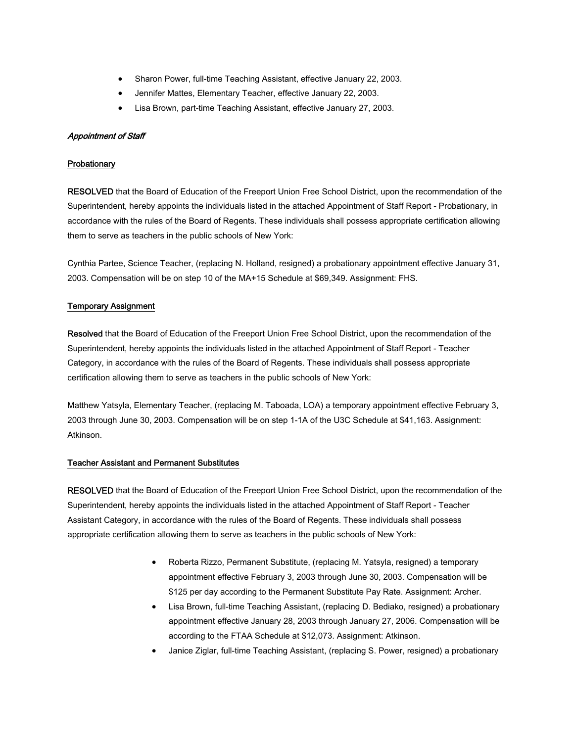- Sharon Power, full-time Teaching Assistant, effective January 22, 2003.
- Jennifer Mattes, Elementary Teacher, effective January 22, 2003.
- Lisa Brown, part-time Teaching Assistant, effective January 27, 2003.

#### Appointment of Staff

#### **Probationary**

RESOLVED that the Board of Education of the Freeport Union Free School District, upon the recommendation of the Superintendent, hereby appoints the individuals listed in the attached Appointment of Staff Report - Probationary, in accordance with the rules of the Board of Regents. These individuals shall possess appropriate certification allowing them to serve as teachers in the public schools of New York:

Cynthia Partee, Science Teacher, (replacing N. Holland, resigned) a probationary appointment effective January 31, 2003. Compensation will be on step 10 of the MA+15 Schedule at \$69,349. Assignment: FHS.

#### Temporary Assignment

Resolved that the Board of Education of the Freeport Union Free School District, upon the recommendation of the Superintendent, hereby appoints the individuals listed in the attached Appointment of Staff Report - Teacher Category, in accordance with the rules of the Board of Regents. These individuals shall possess appropriate certification allowing them to serve as teachers in the public schools of New York:

Matthew Yatsyla, Elementary Teacher, (replacing M. Taboada, LOA) a temporary appointment effective February 3, 2003 through June 30, 2003. Compensation will be on step 1-1A of the U3C Schedule at \$41,163. Assignment: Atkinson.

#### Teacher Assistant and Permanent Substitutes

RESOLVED that the Board of Education of the Freeport Union Free School District, upon the recommendation of the Superintendent, hereby appoints the individuals listed in the attached Appointment of Staff Report - Teacher Assistant Category, in accordance with the rules of the Board of Regents. These individuals shall possess appropriate certification allowing them to serve as teachers in the public schools of New York:

- Roberta Rizzo, Permanent Substitute, (replacing M. Yatsyla, resigned) a temporary appointment effective February 3, 2003 through June 30, 2003. Compensation will be \$125 per day according to the Permanent Substitute Pay Rate. Assignment: Archer.
- Lisa Brown, full-time Teaching Assistant, (replacing D. Bediako, resigned) a probationary appointment effective January 28, 2003 through January 27, 2006. Compensation will be according to the FTAA Schedule at \$12,073. Assignment: Atkinson.
- Janice Ziglar, full-time Teaching Assistant, (replacing S. Power, resigned) a probationary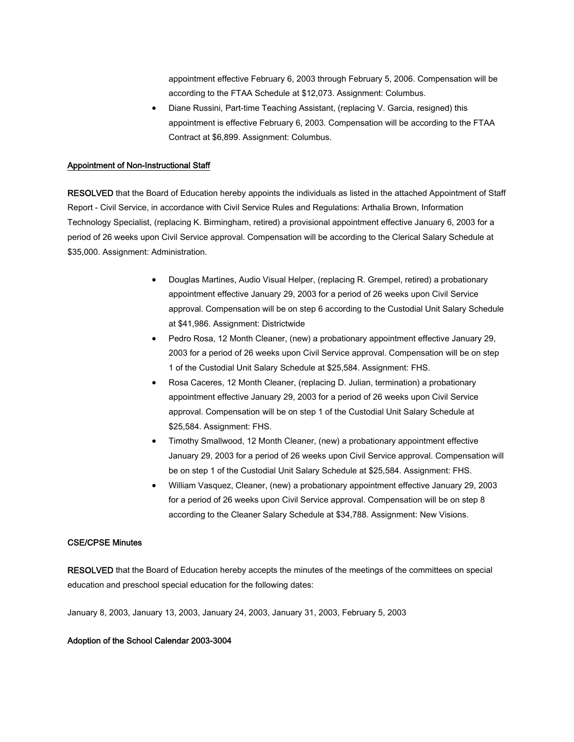appointment effective February 6, 2003 through February 5, 2006. Compensation will be according to the FTAA Schedule at \$12,073. Assignment: Columbus.

• Diane Russini, Part-time Teaching Assistant, (replacing V. Garcia, resigned) this appointment is effective February 6, 2003. Compensation will be according to the FTAA Contract at \$6,899. Assignment: Columbus.

#### Appointment of Non-Instructional Staff

RESOLVED that the Board of Education hereby appoints the individuals as listed in the attached Appointment of Staff Report - Civil Service, in accordance with Civil Service Rules and Regulations: Arthalia Brown, Information Technology Specialist, (replacing K. Birmingham, retired) a provisional appointment effective January 6, 2003 for a period of 26 weeks upon Civil Service approval. Compensation will be according to the Clerical Salary Schedule at \$35,000. Assignment: Administration.

- Douglas Martines, Audio Visual Helper, (replacing R. Grempel, retired) a probationary appointment effective January 29, 2003 for a period of 26 weeks upon Civil Service approval. Compensation will be on step 6 according to the Custodial Unit Salary Schedule at \$41,986. Assignment: Districtwide
- Pedro Rosa, 12 Month Cleaner, (new) a probationary appointment effective January 29, 2003 for a period of 26 weeks upon Civil Service approval. Compensation will be on step 1 of the Custodial Unit Salary Schedule at \$25,584. Assignment: FHS.
- Rosa Caceres, 12 Month Cleaner, (replacing D. Julian, termination) a probationary appointment effective January 29, 2003 for a period of 26 weeks upon Civil Service approval. Compensation will be on step 1 of the Custodial Unit Salary Schedule at \$25,584. Assignment: FHS.
- Timothy Smallwood, 12 Month Cleaner, (new) a probationary appointment effective January 29, 2003 for a period of 26 weeks upon Civil Service approval. Compensation will be on step 1 of the Custodial Unit Salary Schedule at \$25,584. Assignment: FHS.
- William Vasquez, Cleaner, (new) a probationary appointment effective January 29, 2003 for a period of 26 weeks upon Civil Service approval. Compensation will be on step 8 according to the Cleaner Salary Schedule at \$34,788. Assignment: New Visions.

#### CSE/CPSE Minutes

RESOLVED that the Board of Education hereby accepts the minutes of the meetings of the committees on special education and preschool special education for the following dates:

January 8, 2003, January 13, 2003, January 24, 2003, January 31, 2003, February 5, 2003

#### Adoption of the School Calendar 2003-3004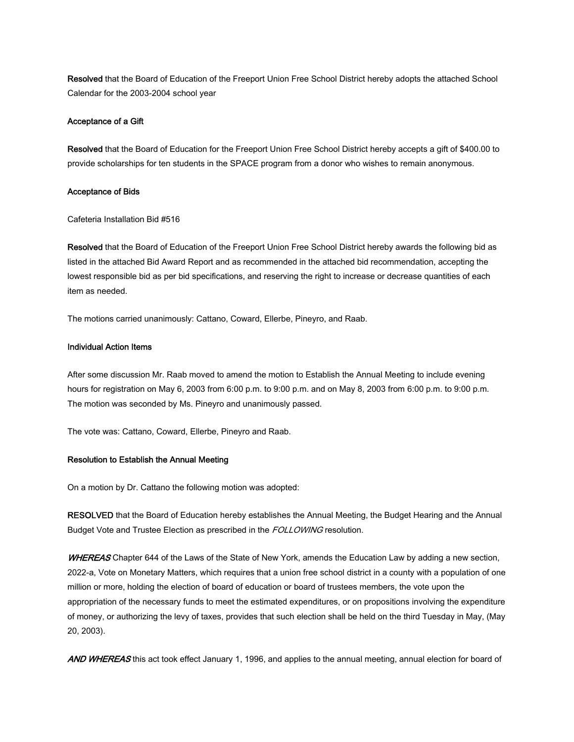Resolved that the Board of Education of the Freeport Union Free School District hereby adopts the attached School Calendar for the 2003-2004 school year

#### Acceptance of a Gift

Resolved that the Board of Education for the Freeport Union Free School District hereby accepts a gift of \$400.00 to provide scholarships for ten students in the SPACE program from a donor who wishes to remain anonymous.

#### Acceptance of Bids

Cafeteria Installation Bid #516

Resolved that the Board of Education of the Freeport Union Free School District hereby awards the following bid as listed in the attached Bid Award Report and as recommended in the attached bid recommendation, accepting the lowest responsible bid as per bid specifications, and reserving the right to increase or decrease quantities of each item as needed.

The motions carried unanimously: Cattano, Coward, Ellerbe, Pineyro, and Raab.

#### Individual Action Items

After some discussion Mr. Raab moved to amend the motion to Establish the Annual Meeting to include evening hours for registration on May 6, 2003 from 6:00 p.m. to 9:00 p.m. and on May 8, 2003 from 6:00 p.m. to 9:00 p.m. The motion was seconded by Ms. Pineyro and unanimously passed.

The vote was: Cattano, Coward, Ellerbe, Pineyro and Raab.

#### Resolution to Establish the Annual Meeting

On a motion by Dr. Cattano the following motion was adopted:

RESOLVED that the Board of Education hereby establishes the Annual Meeting, the Budget Hearing and the Annual Budget Vote and Trustee Election as prescribed in the FOLLOWING resolution.

WHEREAS Chapter 644 of the Laws of the State of New York, amends the Education Law by adding a new section, 2022-a, Vote on Monetary Matters, which requires that a union free school district in a county with a population of one million or more, holding the election of board of education or board of trustees members, the vote upon the appropriation of the necessary funds to meet the estimated expenditures, or on propositions involving the expenditure of money, or authorizing the levy of taxes, provides that such election shall be held on the third Tuesday in May, (May 20, 2003).

AND WHEREAS this act took effect January 1, 1996, and applies to the annual meeting, annual election for board of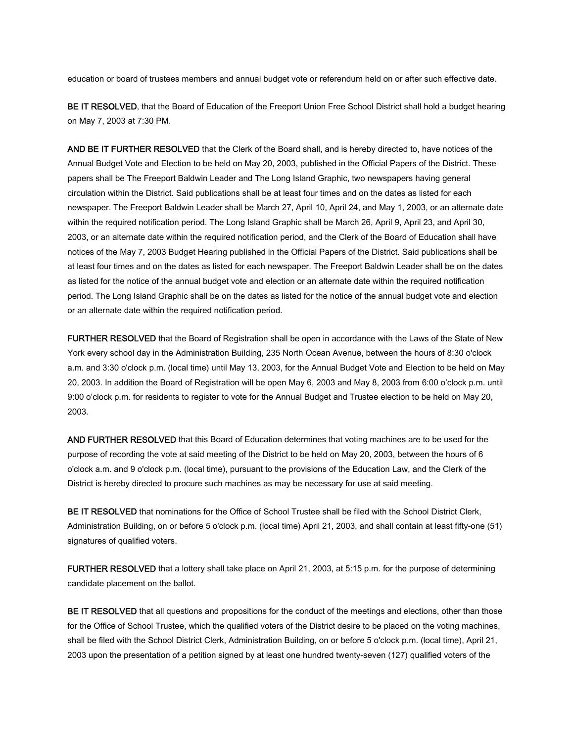education or board of trustees members and annual budget vote or referendum held on or after such effective date.

BE IT RESOLVED, that the Board of Education of the Freeport Union Free School District shall hold a budget hearing on May 7, 2003 at 7:30 PM.

AND BE IT FURTHER RESOLVED that the Clerk of the Board shall, and is hereby directed to, have notices of the Annual Budget Vote and Election to be held on May 20, 2003, published in the Official Papers of the District. These papers shall be The Freeport Baldwin Leader and The Long Island Graphic, two newspapers having general circulation within the District. Said publications shall be at least four times and on the dates as listed for each newspaper. The Freeport Baldwin Leader shall be March 27, April 10, April 24, and May 1, 2003, or an alternate date within the required notification period. The Long Island Graphic shall be March 26, April 9, April 23, and April 30, 2003, or an alternate date within the required notification period, and the Clerk of the Board of Education shall have notices of the May 7, 2003 Budget Hearing published in the Official Papers of the District. Said publications shall be at least four times and on the dates as listed for each newspaper. The Freeport Baldwin Leader shall be on the dates as listed for the notice of the annual budget vote and election or an alternate date within the required notification period. The Long Island Graphic shall be on the dates as listed for the notice of the annual budget vote and election or an alternate date within the required notification period.

FURTHER RESOLVED that the Board of Registration shall be open in accordance with the Laws of the State of New York every school day in the Administration Building, 235 North Ocean Avenue, between the hours of 8:30 o'clock a.m. and 3:30 o'clock p.m. (local time) until May 13, 2003, for the Annual Budget Vote and Election to be held on May 20, 2003. In addition the Board of Registration will be open May 6, 2003 and May 8, 2003 from 6:00 o'clock p.m. until 9:00 o'clock p.m. for residents to register to vote for the Annual Budget and Trustee election to be held on May 20, 2003.

AND FURTHER RESOLVED that this Board of Education determines that voting machines are to be used for the purpose of recording the vote at said meeting of the District to be held on May 20, 2003, between the hours of 6 o'clock a.m. and 9 o'clock p.m. (local time), pursuant to the provisions of the Education Law, and the Clerk of the District is hereby directed to procure such machines as may be necessary for use at said meeting.

BE IT RESOLVED that nominations for the Office of School Trustee shall be filed with the School District Clerk, Administration Building, on or before 5 o'clock p.m. (local time) April 21, 2003, and shall contain at least fifty-one (51) signatures of qualified voters.

FURTHER RESOLVED that a lottery shall take place on April 21, 2003, at 5:15 p.m. for the purpose of determining candidate placement on the ballot.

BE IT RESOLVED that all questions and propositions for the conduct of the meetings and elections, other than those for the Office of School Trustee, which the qualified voters of the District desire to be placed on the voting machines, shall be filed with the School District Clerk, Administration Building, on or before 5 o'clock p.m. (local time), April 21, 2003 upon the presentation of a petition signed by at least one hundred twenty-seven (127) qualified voters of the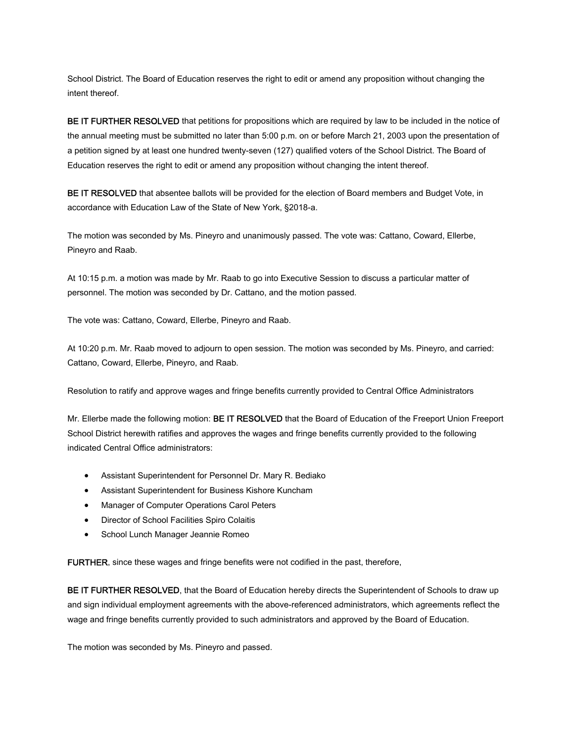School District. The Board of Education reserves the right to edit or amend any proposition without changing the intent thereof.

BE IT FURTHER RESOLVED that petitions for propositions which are required by law to be included in the notice of the annual meeting must be submitted no later than 5:00 p.m. on or before March 21, 2003 upon the presentation of a petition signed by at least one hundred twenty-seven (127) qualified voters of the School District. The Board of Education reserves the right to edit or amend any proposition without changing the intent thereof.

BE IT RESOLVED that absentee ballots will be provided for the election of Board members and Budget Vote, in accordance with Education Law of the State of New York, §2018-a.

The motion was seconded by Ms. Pineyro and unanimously passed. The vote was: Cattano, Coward, Ellerbe, Pineyro and Raab.

At 10:15 p.m. a motion was made by Mr. Raab to go into Executive Session to discuss a particular matter of personnel. The motion was seconded by Dr. Cattano, and the motion passed.

The vote was: Cattano, Coward, Ellerbe, Pineyro and Raab.

At 10:20 p.m. Mr. Raab moved to adjourn to open session. The motion was seconded by Ms. Pineyro, and carried: Cattano, Coward, Ellerbe, Pineyro, and Raab.

Resolution to ratify and approve wages and fringe benefits currently provided to Central Office Administrators

Mr. Ellerbe made the following motion: **BE IT RESOLVED** that the Board of Education of the Freeport Union Freeport School District herewith ratifies and approves the wages and fringe benefits currently provided to the following indicated Central Office administrators:

- Assistant Superintendent for Personnel Dr. Mary R. Bediako
- Assistant Superintendent for Business Kishore Kuncham
- Manager of Computer Operations Carol Peters
- Director of School Facilities Spiro Colaitis
- School Lunch Manager Jeannie Romeo

FURTHER, since these wages and fringe benefits were not codified in the past, therefore,

BE IT FURTHER RESOLVED, that the Board of Education hereby directs the Superintendent of Schools to draw up and sign individual employment agreements with the above-referenced administrators, which agreements reflect the wage and fringe benefits currently provided to such administrators and approved by the Board of Education.

The motion was seconded by Ms. Pineyro and passed.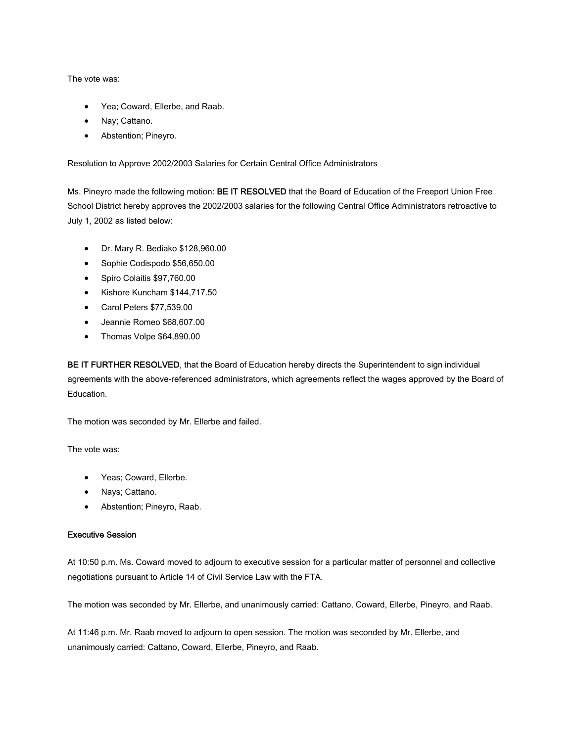The vote was:

- Yea; Coward, Ellerbe, and Raab.
- Nay; Cattano.
- Abstention; Pineyro.

Resolution to Approve 2002/2003 Salaries for Certain Central Office Administrators

Ms. Pineyro made the following motion: BE IT RESOLVED that the Board of Education of the Freeport Union Free School District hereby approves the 2002/2003 salaries for the following Central Office Administrators retroactive to July 1, 2002 as listed below:

- Dr. Mary R. Bediako \$128,960.00
- Sophie Codispodo \$56,650.00
- Spiro Colaitis \$97,760.00
- Kishore Kuncham \$144,717.50
- Carol Peters \$77,539.00
- Jeannie Romeo \$68,607.00
- Thomas Volpe \$64,890.00

BE IT FURTHER RESOLVED, that the Board of Education hereby directs the Superintendent to sign individual agreements with the above-referenced administrators, which agreements reflect the wages approved by the Board of Education.

The motion was seconded by Mr. Ellerbe and failed.

The vote was:

- Yeas; Coward, Ellerbe.
- Nays; Cattano.
- Abstention; Pineyro, Raab.

#### Executive Session

At 10:50 p.m. Ms. Coward moved to adjourn to executive session for a particular matter of personnel and collective negotiations pursuant to Article 14 of Civil Service Law with the FTA.

The motion was seconded by Mr. Ellerbe, and unanimously carried: Cattano, Coward, Ellerbe, Pineyro, and Raab.

At 11:46 p.m. Mr. Raab moved to adjourn to open session. The motion was seconded by Mr. Ellerbe, and unanimously carried: Cattano, Coward, Ellerbe, Pineyro, and Raab.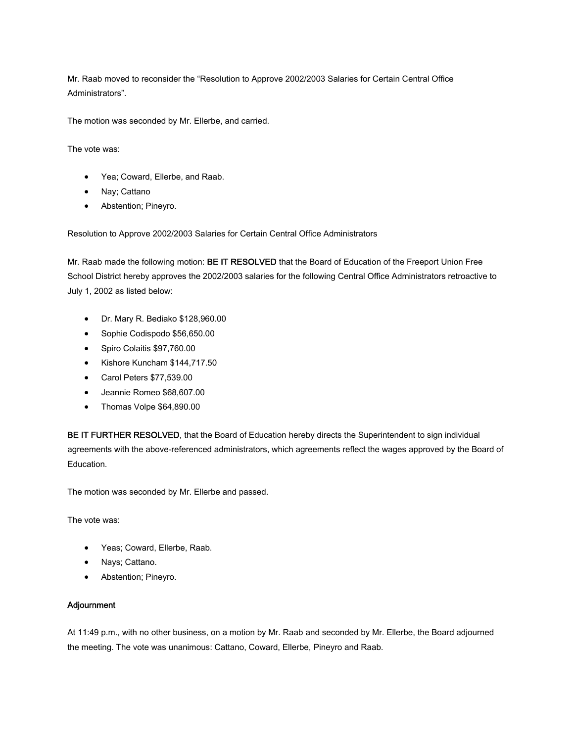Mr. Raab moved to reconsider the "Resolution to Approve 2002/2003 Salaries for Certain Central Office Administrators".

The motion was seconded by Mr. Ellerbe, and carried.

The vote was:

- Yea; Coward, Ellerbe, and Raab.
- Nay; Cattano
- Abstention; Pineyro.

Resolution to Approve 2002/2003 Salaries for Certain Central Office Administrators

Mr. Raab made the following motion: BE IT RESOLVED that the Board of Education of the Freeport Union Free School District hereby approves the 2002/2003 salaries for the following Central Office Administrators retroactive to July 1, 2002 as listed below:

- Dr. Mary R. Bediako \$128,960.00
- Sophie Codispodo \$56,650.00
- Spiro Colaitis \$97,760.00
- Kishore Kuncham \$144,717.50
- Carol Peters \$77,539.00
- Jeannie Romeo \$68,607.00
- Thomas Volpe \$64,890.00

BE IT FURTHER RESOLVED, that the Board of Education hereby directs the Superintendent to sign individual agreements with the above-referenced administrators, which agreements reflect the wages approved by the Board of Education.

The motion was seconded by Mr. Ellerbe and passed.

The vote was:

- Yeas; Coward, Ellerbe, Raab.
- Nays; Cattano.
- Abstention; Pineyro.

#### Adjournment

At 11:49 p.m., with no other business, on a motion by Mr. Raab and seconded by Mr. Ellerbe, the Board adjourned the meeting. The vote was unanimous: Cattano, Coward, Ellerbe, Pineyro and Raab.